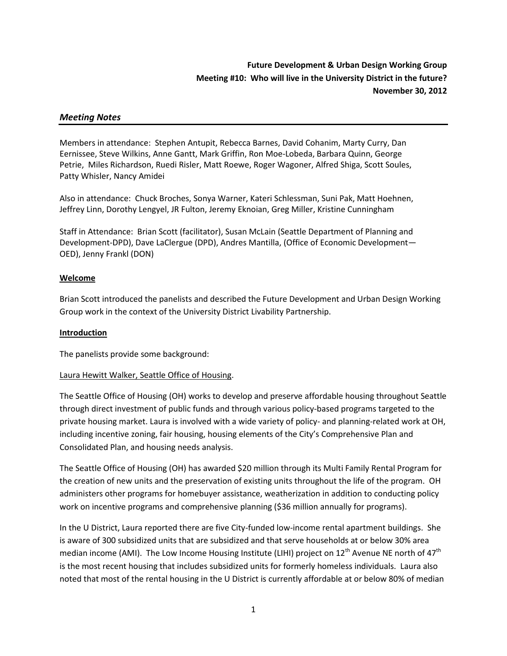# **Future Development & Urban Design Working Group Meeting #10: Who will live in the University District in the future? November 30, 2012**

#### *Meeting Notes*

Members in attendance: Stephen Antupit, Rebecca Barnes, David Cohanim, Marty Curry, Dan Eernissee, Steve Wilkins, Anne Gantt, Mark Griffin, Ron Moe-Lobeda, Barbara Quinn, George Petrie, Miles Richardson, Ruedi Risler, Matt Roewe, Roger Wagoner, Alfred Shiga, Scott Soules, Patty Whisler, Nancy Amidei

Also in attendance: Chuck Broches, Sonya Warner, Kateri Schlessman, Suni Pak, Matt Hoehnen, Jeffrey Linn, Dorothy Lengyel, JR Fulton, Jeremy Eknoian, Greg Miller, Kristine Cunningham

Staff in Attendance: Brian Scott (facilitator), Susan McLain (Seattle Department of Planning and Development-DPD), Dave LaClergue (DPD), Andres Mantilla, (Office of Economic Development— OED), Jenny Frankl (DON)

#### **Welcome**

Brian Scott introduced the panelists and described the Future Development and Urban Design Working Group work in the context of the University District Livability Partnership.

#### **Introduction**

The panelists provide some background:

#### Laura Hewitt Walker, Seattle Office of Housing.

The Seattle Office of Housing (OH) works to develop and preserve affordable housing throughout Seattle through direct investment of public funds and through various policy-based programs targeted to the private housing market. Laura is involved with a wide variety of policy- and planning-related work at OH, including incentive zoning, fair housing, housing elements of the City's Comprehensive Plan and Consolidated Plan, and housing needs analysis.

The Seattle Office of Housing (OH) has awarded \$20 million through its Multi Family Rental Program for the creation of new units and the preservation of existing units throughout the life of the program. OH administers other programs for homebuyer assistance, weatherization in addition to conducting policy work on incentive programs and comprehensive planning (\$36 million annually for programs).

In the U District, Laura reported there are five City-funded low-income rental apartment buildings. She is aware of 300 subsidized units that are subsidized and that serve households at or below 30% area median income (AMI). The Low Income Housing Institute (LIHI) project on  $12^{th}$  Avenue NE north of  $47^{th}$ is the most recent housing that includes subsidized units for formerly homeless individuals. Laura also noted that most of the rental housing in the U District is currently affordable at or below 80% of median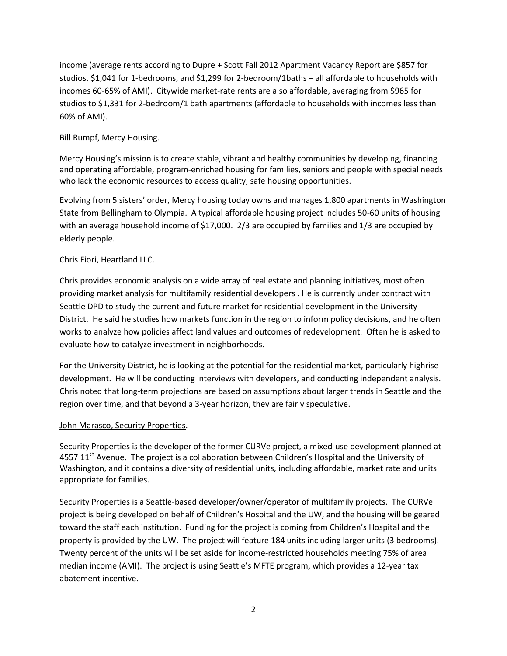income (average rents according to Dupre + Scott Fall 2012 Apartment Vacancy Report are \$857 for studios, \$1,041 for 1-bedrooms, and \$1,299 for 2-bedroom/1baths – all affordable to households with incomes 60-65% of AMI). Citywide market-rate rents are also affordable, averaging from \$965 for studios to \$1,331 for 2-bedroom/1 bath apartments (affordable to households with incomes less than 60% of AMI).

### Bill Rumpf, Mercy Housing.

Mercy Housing's mission is to create stable, vibrant and healthy communities by developing, financing and operating affordable, program-enriched housing for families, seniors and people with special needs who lack the economic resources to access quality, safe housing opportunities.

Evolving from 5 sisters' order, Mercy housing today owns and manages 1,800 apartments in Washington State from Bellingham to Olympia. A typical affordable housing project includes 50-60 units of housing with an average household income of \$17,000. 2/3 are occupied by families and 1/3 are occupied by elderly people.

### Chris Fiori, Heartland LLC.

Chris provides economic analysis on a wide array of real estate and planning initiatives, most often providing market analysis for multifamily residential developers . He is currently under contract with Seattle DPD to study the current and future market for residential development in the University District. He said he studies how markets function in the region to inform policy decisions, and he often works to analyze how policies affect land values and outcomes of redevelopment. Often he is asked to evaluate how to catalyze investment in neighborhoods.

For the University District, he is looking at the potential for the residential market, particularly highrise development. He will be conducting interviews with developers, and conducting independent analysis. Chris noted that long-term projections are based on assumptions about larger trends in Seattle and the region over time, and that beyond a 3-year horizon, they are fairly speculative.

#### John Marasco, Security Properties.

Security Properties is the developer of the former CURVe project, a mixed-use development planned at 4557  $11<sup>th</sup>$  Avenue. The project is a collaboration between Children's Hospital and the University of Washington, and it contains a diversity of residential units, including affordable, market rate and units appropriate for families.

Security Properties is a Seattle-based developer/owner/operator of multifamily projects. The CURVe project is being developed on behalf of Children's Hospital and the UW, and the housing will be geared toward the staff each institution. Funding for the project is coming from Children's Hospital and the property is provided by the UW. The project will feature 184 units including larger units (3 bedrooms). Twenty percent of the units will be set aside for income-restricted households meeting 75% of area median income (AMI). The project is using Seattle's MFTE program, which provides a 12-year tax abatement incentive.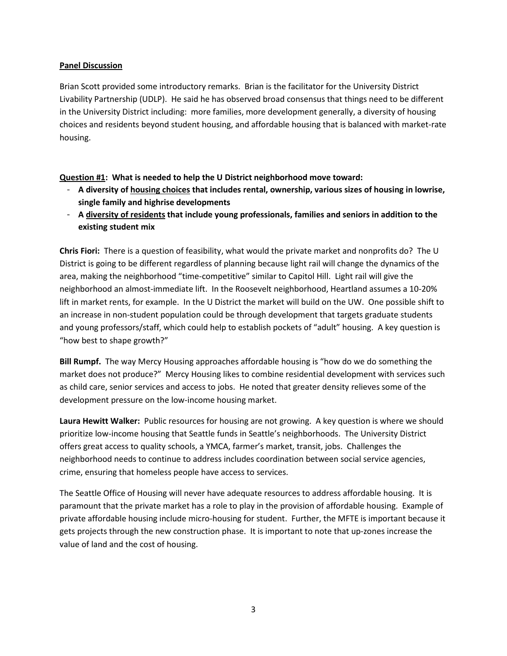### **Panel Discussion**

Brian Scott provided some introductory remarks. Brian is the facilitator for the University District Livability Partnership (UDLP). He said he has observed broad consensus that things need to be different in the University District including: more families, more development generally, a diversity of housing choices and residents beyond student housing, and affordable housing that is balanced with market-rate housing.

**Question #1: What is needed to help the U District neighborhood move toward:** 

- **A diversity of housing choices that includes rental, ownership, various sizes of housing in lowrise, single family and highrise developments**
- **A diversity of residents that include young professionals, families and seniors in addition to the existing student mix**

**Chris Fiori:** There is a question of feasibility, what would the private market and nonprofits do? The U District is going to be different regardless of planning because light rail will change the dynamics of the area, making the neighborhood "time-competitive" similar to Capitol Hill. Light rail will give the neighborhood an almost-immediate lift. In the Roosevelt neighborhood, Heartland assumes a 10-20% lift in market rents, for example. In the U District the market will build on the UW. One possible shift to an increase in non-student population could be through development that targets graduate students and young professors/staff, which could help to establish pockets of "adult" housing. A key question is "how best to shape growth?"

**Bill Rumpf.** The way Mercy Housing approaches affordable housing is "how do we do something the market does not produce?" Mercy Housing likes to combine residential development with services such as child care, senior services and access to jobs. He noted that greater density relieves some of the development pressure on the low-income housing market.

**Laura Hewitt Walker:** Public resources for housing are not growing. A key question is where we should prioritize low-income housing that Seattle funds in Seattle's neighborhoods. The University District offers great access to quality schools, a YMCA, farmer's market, transit, jobs. Challenges the neighborhood needs to continue to address includes coordination between social service agencies, crime, ensuring that homeless people have access to services.

The Seattle Office of Housing will never have adequate resources to address affordable housing. It is paramount that the private market has a role to play in the provision of affordable housing. Example of private affordable housing include micro-housing for student. Further, the MFTE is important because it gets projects through the new construction phase. It is important to note that up-zones increase the value of land and the cost of housing.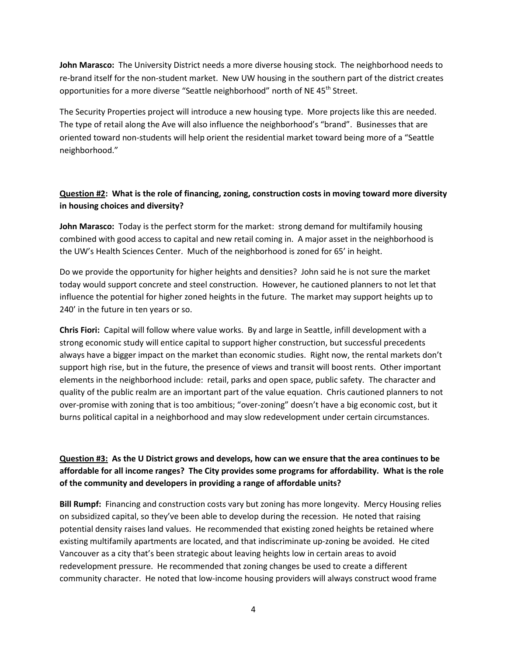**John Marasco:** The University District needs a more diverse housing stock. The neighborhood needs to re-brand itself for the non-student market. New UW housing in the southern part of the district creates opportunities for a more diverse "Seattle neighborhood" north of NE 45<sup>th</sup> Street.

The Security Properties project will introduce a new housing type. More projects like this are needed. The type of retail along the Ave will also influence the neighborhood's "brand". Businesses that are oriented toward non-students will help orient the residential market toward being more of a "Seattle neighborhood."

### **Question #2: What is the role of financing, zoning, construction costs in moving toward more diversity in housing choices and diversity?**

**John Marasco:** Today is the perfect storm for the market: strong demand for multifamily housing combined with good access to capital and new retail coming in. A major asset in the neighborhood is the UW's Health Sciences Center. Much of the neighborhood is zoned for 65' in height.

Do we provide the opportunity for higher heights and densities? John said he is not sure the market today would support concrete and steel construction. However, he cautioned planners to not let that influence the potential for higher zoned heights in the future. The market may support heights up to 240' in the future in ten years or so.

**Chris Fiori:** Capital will follow where value works. By and large in Seattle, infill development with a strong economic study will entice capital to support higher construction, but successful precedents always have a bigger impact on the market than economic studies. Right now, the rental markets don't support high rise, but in the future, the presence of views and transit will boost rents. Other important elements in the neighborhood include: retail, parks and open space, public safety. The character and quality of the public realm are an important part of the value equation. Chris cautioned planners to not over-promise with zoning that is too ambitious; "over-zoning" doesn't have a big economic cost, but it burns political capital in a neighborhood and may slow redevelopment under certain circumstances.

## **Question #3: As the U District grows and develops, how can we ensure that the area continues to be affordable for all income ranges? The City provides some programs for affordability. What is the role of the community and developers in providing a range of affordable units?**

**Bill Rumpf:** Financing and construction costs vary but zoning has more longevity. Mercy Housing relies on subsidized capital, so they've been able to develop during the recession. He noted that raising potential density raises land values. He recommended that existing zoned heights be retained where existing multifamily apartments are located, and that indiscriminate up-zoning be avoided. He cited Vancouver as a city that's been strategic about leaving heights low in certain areas to avoid redevelopment pressure. He recommended that zoning changes be used to create a different community character. He noted that low-income housing providers will always construct wood frame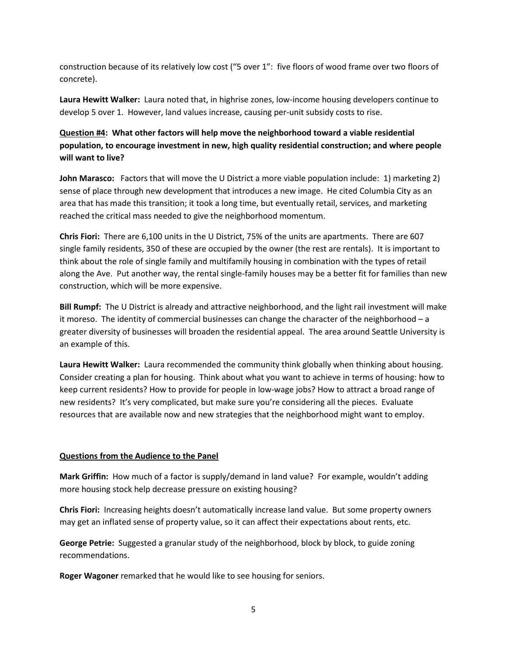construction because of its relatively low cost ("5 over 1": five floors of wood frame over two floors of concrete).

**Laura Hewitt Walker:** Laura noted that, in highrise zones, low-income housing developers continue to develop 5 over 1. However, land values increase, causing per-unit subsidy costs to rise.

## **Question #4: What other factors will help move the neighborhood toward a viable residential population, to encourage investment in new, high quality residential construction; and where people will want to live?**

**John Marasco:** Factors that will move the U District a more viable population include: 1) marketing 2) sense of place through new development that introduces a new image. He cited Columbia City as an area that has made this transition; it took a long time, but eventually retail, services, and marketing reached the critical mass needed to give the neighborhood momentum.

**Chris Fiori:** There are 6,100 units in the U District, 75% of the units are apartments. There are 607 single family residents, 350 of these are occupied by the owner (the rest are rentals). It is important to think about the role of single family and multifamily housing in combination with the types of retail along the Ave. Put another way, the rental single-family houses may be a better fit for families than new construction, which will be more expensive.

**Bill Rumpf:** The U District is already and attractive neighborhood, and the light rail investment will make it moreso. The identity of commercial businesses can change the character of the neighborhood – a greater diversity of businesses will broaden the residential appeal. The area around Seattle University is an example of this.

**Laura Hewitt Walker:** Laura recommended the community think globally when thinking about housing. Consider creating a plan for housing. Think about what you want to achieve in terms of housing: how to keep current residents? How to provide for people in low-wage jobs? How to attract a broad range of new residents? It's very complicated, but make sure you're considering all the pieces. Evaluate resources that are available now and new strategies that the neighborhood might want to employ.

#### **Questions from the Audience to the Panel**

**Mark Griffin:** How much of a factor is supply/demand in land value? For example, wouldn't adding more housing stock help decrease pressure on existing housing?

**Chris Fiori:** Increasing heights doesn't automatically increase land value. But some property owners may get an inflated sense of property value, so it can affect their expectations about rents, etc.

**George Petrie:** Suggested a granular study of the neighborhood, block by block, to guide zoning recommendations.

**Roger Wagoner** remarked that he would like to see housing for seniors.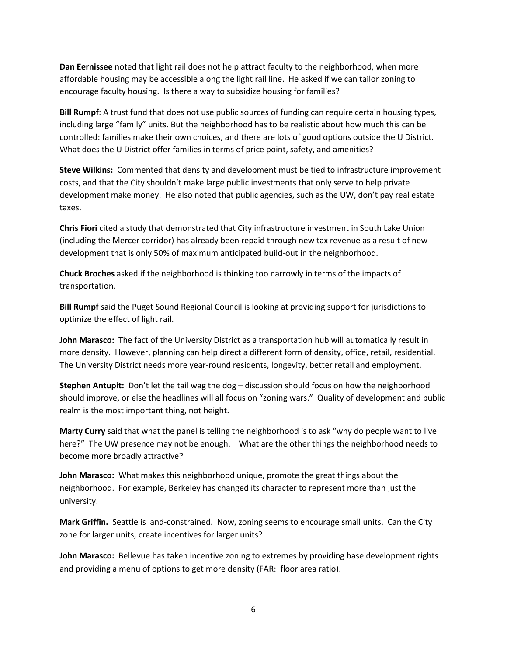**Dan Eernissee** noted that light rail does not help attract faculty to the neighborhood, when more affordable housing may be accessible along the light rail line. He asked if we can tailor zoning to encourage faculty housing. Is there a way to subsidize housing for families?

**Bill Rumpf**: A trust fund that does not use public sources of funding can require certain housing types, including large "family" units. But the neighborhood has to be realistic about how much this can be controlled: families make their own choices, and there are lots of good options outside the U District. What does the U District offer families in terms of price point, safety, and amenities?

**Steve Wilkins:** Commented that density and development must be tied to infrastructure improvement costs, and that the City shouldn't make large public investments that only serve to help private development make money. He also noted that public agencies, such as the UW, don't pay real estate taxes.

**Chris Fiori** cited a study that demonstrated that City infrastructure investment in South Lake Union (including the Mercer corridor) has already been repaid through new tax revenue as a result of new development that is only 50% of maximum anticipated build-out in the neighborhood.

**Chuck Broches** asked if the neighborhood is thinking too narrowly in terms of the impacts of transportation.

**Bill Rumpf** said the Puget Sound Regional Council is looking at providing support for jurisdictions to optimize the effect of light rail.

**John Marasco:** The fact of the University District as a transportation hub will automatically result in more density. However, planning can help direct a different form of density, office, retail, residential. The University District needs more year-round residents, longevity, better retail and employment.

**Stephen Antupit:** Don't let the tail wag the dog – discussion should focus on how the neighborhood should improve, or else the headlines will all focus on "zoning wars." Quality of development and public realm is the most important thing, not height.

**Marty Curry** said that what the panel is telling the neighborhood is to ask "why do people want to live here?" The UW presence may not be enough. What are the other things the neighborhood needs to become more broadly attractive?

**John Marasco:** What makes this neighborhood unique, promote the great things about the neighborhood. For example, Berkeley has changed its character to represent more than just the university.

**Mark Griffin.** Seattle is land-constrained. Now, zoning seems to encourage small units. Can the City zone for larger units, create incentives for larger units?

**John Marasco:** Bellevue has taken incentive zoning to extremes by providing base development rights and providing a menu of options to get more density (FAR: floor area ratio).